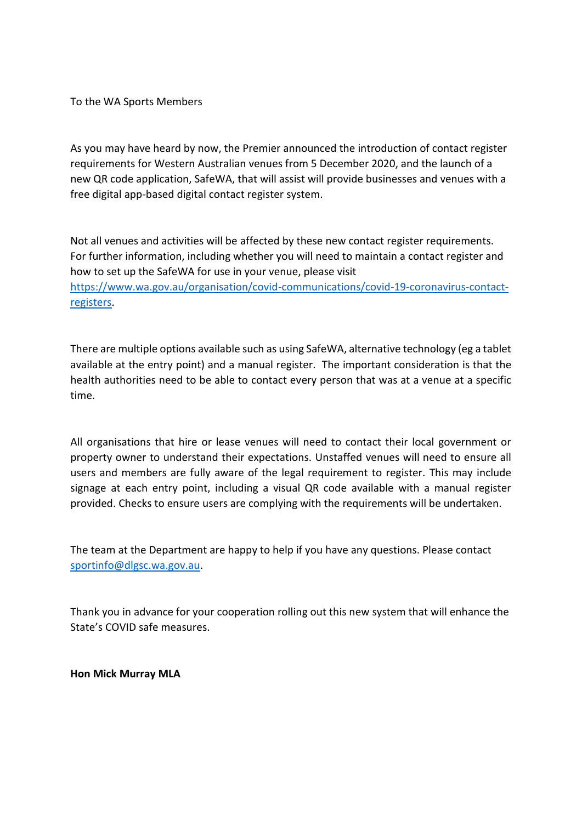To the WA Sports Members

As you may have heard by now, the Premier announced the introduction of contact register requirements for Western Australian venues from 5 December 2020, and the launch of a new QR code application, SafeWA, that will assist will provide businesses and venues with a free digital app-based digital contact register system.

Not all venues and activities will be affected by these new contact register requirements. For further information, including whether you will need to maintain a contact register and how to set up the SafeWA for use in your venue, please visit [https://www.wa.gov.au/organisation/covid-communications/covid-19-coronavirus-contact](https://aus01.safelinks.protection.outlook.com/?url=https%3A%2F%2Fwww.wa.gov.au%2Forganisation%2Fcovid-communications%2Fcovid-19-coronavirus-contact-registers&data=04%7C01%7Ckim.ellwood%40dlgsc.wa.gov.au%7Cf9d39c72768d4e91d13c08d891e48cb7%7Cc1ae0ae2d5044287b6f47eafd6648d22%7C0%7C0%7C637419758087772965%7CUnknown%7CTWFpbGZsb3d8eyJWIjoiMC4wLjAwMDAiLCJQIjoiV2luMzIiLCJBTiI6Ik1haWwiLCJXVCI6Mn0%3D%7C1000&sdata=dskBKslFzEpkxw%2FXoGa6h4ilViPaLphNDxgKLyYEuD8%3D&reserved=0)[registers.](https://aus01.safelinks.protection.outlook.com/?url=https%3A%2F%2Fwww.wa.gov.au%2Forganisation%2Fcovid-communications%2Fcovid-19-coronavirus-contact-registers&data=04%7C01%7Ckim.ellwood%40dlgsc.wa.gov.au%7Cf9d39c72768d4e91d13c08d891e48cb7%7Cc1ae0ae2d5044287b6f47eafd6648d22%7C0%7C0%7C637419758087772965%7CUnknown%7CTWFpbGZsb3d8eyJWIjoiMC4wLjAwMDAiLCJQIjoiV2luMzIiLCJBTiI6Ik1haWwiLCJXVCI6Mn0%3D%7C1000&sdata=dskBKslFzEpkxw%2FXoGa6h4ilViPaLphNDxgKLyYEuD8%3D&reserved=0)

There are multiple options available such as using SafeWA, alternative technology (eg a tablet available at the entry point) and a manual register. The important consideration is that the health authorities need to be able to contact every person that was at a venue at a specific time.

All organisations that hire or lease venues will need to contact their local government or property owner to understand their expectations. Unstaffed venues will need to ensure all users and members are fully aware of the legal requirement to register. This may include signage at each entry point, including a visual QR code available with a manual register provided. Checks to ensure users are complying with the requirements will be undertaken.

The team at the Department are happy to help if you have any questions. Please contact [sportinfo@dlgsc.wa.gov.au.](mailto:sportinfo@dlgsc.wa.gov.au)

Thank you in advance for your cooperation rolling out this new system that will enhance the State's COVID safe measures.

**Hon Mick Murray MLA**